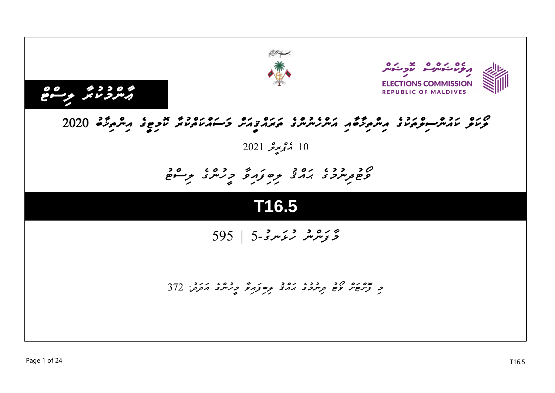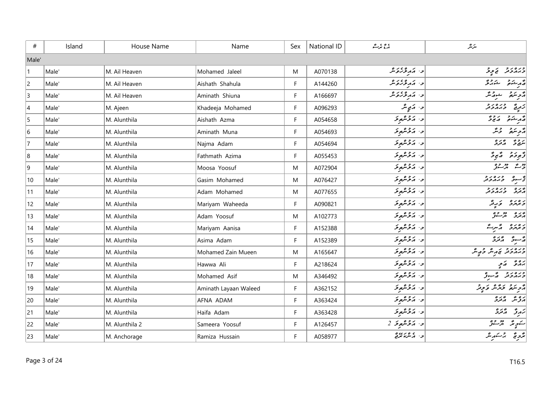| #              | Island | House Name     | Name                  | Sex       | National ID | ، ه ، ره<br>مر: تر                  | ىئرىتر                            |
|----------------|--------|----------------|-----------------------|-----------|-------------|-------------------------------------|-----------------------------------|
| Male'          |        |                |                       |           |             |                                     |                                   |
|                | Male'  | M. Ail Heaven  | Mohamed Jaleel        | ${\sf M}$ | A070138     | <sub>د</sub> . <sub>مەم</sub> ۇرۇش  | ورەر ئىچە                         |
| 2              | Male'  | M. Ail Heaven  | Aishath Shahula       | F         | A144260     | د ۰ م <i>م</i> روزوند               | وكرمشكم المستركز                  |
| $\vert$ 3      | Male'  | M. Ail Heaven  | Aminath Shiuna        | F         | A166697     | د· مەمەمى <i>كەنگە</i>              | أترج متعرفة المستورثين            |
| $\vert 4$      | Male'  | M. Ajeen       | Khadeeja Mohamed      | F         | A096293     | و· مَمَّوٍ مَرْ                     | زرة درەرد                         |
| $\overline{5}$ | Male'  | M. Alunthila   | Aishath Azma          | F         | A054658     | د . مۇشمۇمۇ                         | أحمد شنعو المروم                  |
| $\overline{6}$ | Male'  | M. Alunthila   | Aminath Muna          | F         | A054693     | د . مگر شهوځه                       | ړ د سره د څر                      |
| $\vert$ 7      | Male'  | M. Alunthila   | Najma Adam            | F         | A054694     | د <sub>ا</sub> رکوشه <sub>و</sub> ځ | روء پره                           |
| 8              | Male'  | M. Alunthila   | Fathmath Azima        | F         | A055453     | د <sub>ا</sub> مُرْمَّسْمُورَ       | وٌ و دَو " و " و "                |
| 9              | Male'  | M. Alunthila   | Moosa Yoosuf          | M         | A072904     | د . ئەۋشمۇ ئ                        | در میں دور دور<br>حراف اور اسرائی |
| 10             | Male'  | M. Alunthila   | Gasim Mohamed         | ${\sf M}$ | A076427     | د . ئەقرىئىموقر                     |                                   |
| 11             | Male'  | M. Alunthila   | Adam Mohamed          | ${\sf M}$ | A077655     | د <sub>ا</sub> مُرْمَّسْمُورَ       | برره وره رو<br>پرترن وبرپروتر     |
| 12             | Male'  | M. Alunthila   | Mariyam Waheeda       | F         | A090821     | - رَجْرْسُمِ يَ                     | رەرە رىد                          |
| 13             | Male'  | M. Alunthila   | Adam Yoosuf           | ${\sf M}$ | A102773     | د· مُرْمْعُهِ دَ                    | پره دو وه<br>پرترو پرسو           |
| 14             | Male'  | M. Alunthila   | Mariyam Aanisa        | F         | A152388     | د. ئەۋىئىمۇ ئە                      | و ده ده و محسن شور                |
| 15             | Male'  | M. Alunthila   | Asima Adam            | F         | A152389     | د· مگوشهو دَ                        | وٌ سوءٌ و دوره                    |
| 16             | Male'  | M. Alunthila   | Mohamed Zain Mueen    | M         | A165647     | د· ئەقرىئىموقە                      | ورورو نمره ومحمده                 |
| 17             | Male'  | M. Alunthila   | Hawwa Ali             | F         | A218624     | د . ئەقرىئىموقە                     | برەۋ كەم                          |
| 18             | Male'  | M. Alunthila   | Mohamed Asif          | M         | A346492     | د . ئەقرىئىموقە                     | وره در در در د                    |
| 19             | Male'  | M. Alunthila   | Aminath Layaan Waleed | F         | A362152     | د . مگر شهوځه                       | أأدبته وأراه ووار                 |
| 20             | Male'  | M. Alunthila   | AFNA ADAM             | F         | A363424     | د· مَرْمْسْهِ دَ                    | ره بر پره<br>مرسر برترو           |
| 21             | Male'  | M. Alunthila   | Haifa Adam            | F         | A363428     | د . ئەنزىت <sub>مۇ</sub> ئە         | رُوژٌ دُفرَدٌ                     |
| 22             | Male'  | M. Alunthila 2 | Sameera Yoosuf        | F         | A126457     | $25$ مَوْسْعِودَ $\sim$             | سەھ بۇ بۇرىمۇ                     |
| 23             | Male'  | M. Anchorage   | Ramiza Hussain        | F         | A058977     | ه ۱۵ ور ۵۵<br>و ۰ در سرد مربع       | بمرديح برستهريش                   |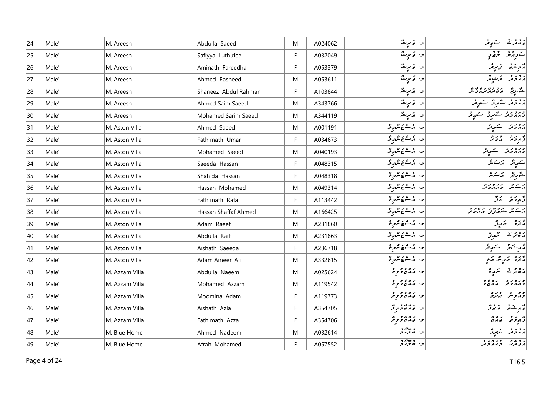| 24 | Male' | M. Areesh      | Abdulla Saeed        | M | A024062 | و- دکمپریش                    | پره مرالله سکوپوتر                                               |
|----|-------|----------------|----------------------|---|---------|-------------------------------|------------------------------------------------------------------|
| 25 | Male' | M. Areesh      | Safiyya Luthufee     | F | A032049 | و٠ دکم پرځه                   | بەرەش ئۇچۇر                                                      |
| 26 | Male' | M. Areesh      | Aminath Fareedha     | F | A053379 | و٠ دکمپرڪ                     | د څر سره تر سر تر                                                |
| 27 | Male' | M. Areesh      | Ahmed Rasheed        | M | A053611 | و٠ دکمپرڪ                     | د ه د چې مخمستونکر<br>  د برخونکر مخمسکونکر                      |
| 28 | Male' | M. Areesh      | Shaneez Abdul Rahman | F | A103844 | و٠ دکمپرڪ                     | ر ه و ه ر ه ر ه<br>پره تر پر <i>پر</i> پر<br>ڪُ س <sub>ر</sub> چ |
| 29 | Male' | M. Areesh      | Ahmed Saim Saeed     | M | A343766 | والمكامر كمشو                 | رەر ئە ئەر ئىمە                                                  |
| 30 | Male' | M. Areesh      | Mohamed Sarim Saeed  | M | A344119 | وا کامریش                     | ورەرو شرق سەرتى                                                  |
| 31 | Male' | M. Aston Villa | Ahmed Saeed          | M | A001191 | و . كە مەھ ھەر ئۇ             | ړه رو شهید                                                       |
| 32 | Male' | M. Aston Villa | Fathimath Umar       | F | A034673 | - ، ، مْ مْ عْ عْرْهِ مَرْ    | و در در در                                                       |
| 33 | Male' | M. Aston Villa | Mohamed Saeed        | M | A040193 | ى بىر مەھ ھەرىجە ئى <i>ر</i>  | وره رو در د                                                      |
| 34 | Male' | M. Aston Villa | Saeeda Hassan        | F | A048315 |                               | سەرپىق   ئەسەھر                                                  |
| 35 | Male' | M. Aston Villa | Shahida Hassan       | F | A048318 | د بر مشق شروعٌ                | ڪريڙ پرڪير                                                       |
| 36 | Male' | M. Aston Villa | Hassan Mohamed       | M | A049314 |                               | يركسش وره دو                                                     |
| 37 | Male' | M. Aston Villa | Fathimath Rafa       | F | A113442 | د . ئە <sup>م</sup> ەھ ئىرىدۇ | وتجوحا والمترقر                                                  |
| 38 | Male' | M. Aston Villa | Hassan Shaffaf Ahmed | M | A166425 | و . كە مەھ ھەر ئۇ             | ر ده مشهوره ده دو.<br>پرستن شهروز مهاجان                         |
| 39 | Male' | M. Aston Villa | Adam Raeef           | M | A231860 | ر مي شوند شهر محمد برگر       | أأزوه برازو                                                      |
| 40 | Male' | M. Aston Villa | Abdulla Raif         | M | A231863 | ى بىر مەھ ھەرىجە ئى <i>ر</i>  | رەقەلللە<br>بترمر و                                              |
| 41 | Male' | M. Aston Villa | Aishath Saeeda       | F | A236718 | ى ئەسىھ تىرىگە                | و گهر شکوه<br>در کار<br>سە پەتگە                                 |
| 42 | Male' | M. Aston Villa | Adam Ameen Ali       | M | A332615 | ى ئەھمەھ بى <i>گە</i> ئە      | پر پر پر پر پر                                                   |
| 43 | Male' | M. Azzam Villa | Abdulla Naeem        | M | A025624 | و· مەم جۇمۇ                   | برة والله سَهْدِ و                                               |
| 44 | Male' | M. Azzam Villa | Mohamed Azzam        | M | A119542 | د . م. د و څرمنگر             | כנסנכ נסשם<br>בגמכת המשכ                                         |
| 45 | Male' | M. Azzam Villa | Moomina Adam         | F | A119773 | د . م. م. م. و و څ            | وרק ב הנק                                                        |
| 46 | Male' | M. Azzam Villa | Aishath Azla         | F | A354705 | 5, 2, 2, 3, 3                 | أأراد المتفاقر وأتباقر                                           |
| 47 | Male' | M. Azzam Villa | Fathimath Azza       | F | A354706 | و٠ مەم ئەۋەپ                  | وجودة مدم                                                        |
| 48 | Male' | M. Blue Home   | Ahmed Nadeem         | M | A032614 | ه ده ۵۶۶۵<br>و۰ هورو          | پروژو کربرو                                                      |
| 49 | Male' | M. Blue Home   | Afrah Mohamed        | F | A057552 | ه ده ۵۶۶۵<br>و۰ هورو          | ره ده دره رد<br>پرنو <i>بر د</i> بربرد                           |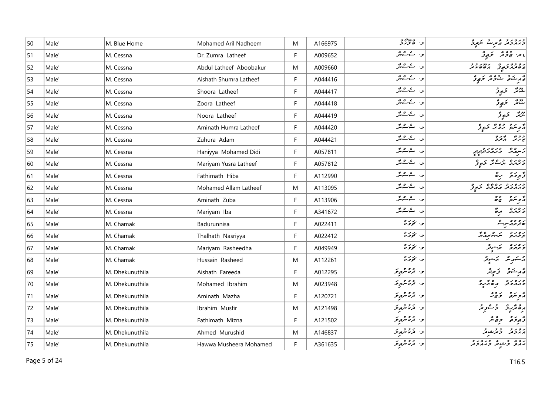| 50 | Male' | M. Blue Home    | Mohamed Aril Nadheem    | M  | A166975 | ه ده ۵۵۶۵<br>و۰ هورو                           | ورورو ومرت تربره                      |
|----|-------|-----------------|-------------------------|----|---------|------------------------------------------------|---------------------------------------|
| 51 | Male' | M. Cessna       | Dr. Zumra Latheef       | F. | A009652 | ىر، سەسىھەتىر                                  | ، <i>برا چ</i> ونژ او پور             |
| 52 | Male' | M. Cessna       | Abdul Latheef Aboobakur | M  | A009660 | ى سەسىگە                                       | גם כסגם החנקרה<br>הסטהתתת נ           |
| 53 | Male' | M. Cessna       | Aishath Shumra Latheef  | F  | A044416 | ى ئەشەئىر                                      | أمر منعدة المتوجر تحوي                |
| 54 | Male' | M. Cessna       | Shoora Latheef          | F  | A044417 | ىر، سەسىگە                                     | شوش كرېږۇ                             |
| 55 | Male' | M. Cessna       | Zoora Latheef           | F  | A044418 | د . سگەشگەنگر                                  | لتبعثر الاقبور                        |
| 56 | Male' | M. Cessna       | Noora Latheef           | F  | A044419 | ى ئەشقەتتە                                     | لتربئر تزجوز                          |
| 57 | Male' | M. Cessna       | Aminath Humra Latheef   | F  | A044420 | ىر، سەسىگە                                     | و دو ده و د و                         |
| 58 | Male' | M. Cessna       | Zuhura Adam             | F. | A044421 | ىر، سەسىگە                                     | و و پر محمد و در ه<br>محمد سر محمد حر |
| 59 | Male' | M. Cessna       | Haniyya Mohamed Didi    | F  | A057811 | ىر، سەسىگە                                     | رسمه وره دورد                         |
| 60 | Male' | M. Cessna       | Mariyam Yusra Latheef   | F. | A057812 | ى سەسىگە                                       | د وړه د مرغ ځیږو                      |
| 61 | Male' | M. Cessna       | Fathimath Hiba          | F  | A112990 | ى سەسىگە                                       | توجوجو برقة                           |
| 62 | Male' | M. Cessna       | Mohamed Allam Latheef   | M  | A113095 | د . سگەشگەنگر                                  |                                       |
| 63 | Male' | M. Cessna       | Aminath Zuba            | F  | A113906 | د . سگەشگەنگر                                  |                                       |
| 64 | Male' | M. Cessna       | Mariyam Iba             | F  | A341672 | د . سگەشگەنگر                                  | ره ره دهٔ                             |
| 65 | Male' | M. Chamak       | Badurunnisa             | F  | A022411 | 256.5                                          | ئە <sup>د دە</sup> سرىسە              |
| 66 | Male' | M. Chamak       | Thalhath Nasriyya       | F  | A022412 | 556.5                                          | رەرد سرەرەر                           |
| 67 | Male' | M. Chamak       | Mariyam Rasheedha       | F  | A049949 | 556.5                                          | ره ره<br>د عرمرو گرشونگر              |
| 68 | Male' | M. Chamak       | Hussain Rasheed         | M  | A112261 | 556.5                                          | وكسكر مكر الكرامية وكر                |
| 69 | Male' | M. Dhekunuthila | Aishath Fareeda         | F  | A012295 | و . مۇراشھۇمۇ                                  | وكرشن ويرفر                           |
| 70 | Male' | M. Dhekunuthila | Mohamed Ibrahim         | M  | A023948 | و . مۇراشمۇمۇ                                  | כנסנכ השתנכ                           |
| 71 | Male' | M. Dhekunuthila | Aminath Mazha           | F  | A120721 | د <sub>ا</sub> تر <i>ما مت<sub>ا</sub>بو ځ</i> | أزويتم وتور                           |
| 72 | Male' | M. Dhekunuthila | Ibrahim Musfir          | M  | A121498 | د . در در مر <sub>حو</sub> ځر                  | رە ئەرە بۇ ئەربر                      |
| 73 | Male' | M. Dhekunuthila | Fathimath Mizna         | F  | A121502 | و <sub>:</sub> قرمانتر <sub>و</sub> وَ         | قوم ديم                               |
| 74 | Male' | M. Dhekunuthila | Ahmed Murushid          | M  | A146837 | <sub>د م</sub> ورا مت <sub>عو</sub> مَ         | ره رو وور<br>مدونر وبرشونر            |
| 75 | Male' | M. Dhekunuthila | Hawwa Musheera Mohamed  | F  | A361635 | د . م <i>ورا مت<sub>عو</sub>م</i>              | ره ده ده در در در د                   |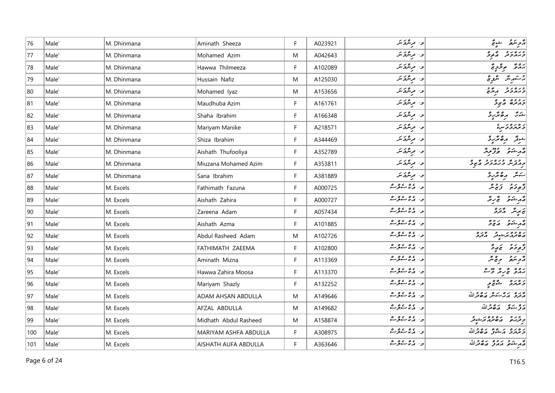| 76  | Male' | M. Dhinmana | Aminath Sheeza        | F           | A023921 | د· مریگرد کر                | أثرج سنونج                                                                                                                                                                                                                                                                            |
|-----|-------|-------------|-----------------------|-------------|---------|-----------------------------|---------------------------------------------------------------------------------------------------------------------------------------------------------------------------------------------------------------------------------------------------------------------------------------|
| 77  | Male' | M. Dhinmana | Mohamed Azim          | M           | A042643 | <sub>جاس</sub> مبر مرکز مگر | وره رو و ه<br><i>وبرورو و ف</i> ور                                                                                                                                                                                                                                                    |
| 78  | Male' | M. Dhinmana | Hawwa Thilmeeza       | F           | A102089 | د· مریگرد کر                | رە بە<br>برابرى                                                                                                                                                                                                                                                                       |
| 79  | Male' | M. Dhinmana | Hussain Nafiz         | M           | A125030 | اه. مرهزمتر                 | ج <sub>ە</sub> سىئەر بىر                                                                                                                                                                                                                                                              |
| 80  | Male' | M. Dhinmana | Mohamed Iyaz          | ${\sf M}$   | A153656 | د· م <sub>ی</sub> نگریز کر  | כנסנכ בי                                                                                                                                                                                                                                                                              |
| 81  | Male' | M. Dhinmana | Maudhuba Azim         | $\mathsf F$ | A161761 | د <sub>ا مر</sub> یژوکر     | ر د دره په و                                                                                                                                                                                                                                                                          |
| 82  | Male' | M. Dhinmana | Shaha Ibrahim         | F           | A166348 | د· مریگرد کر                | شرش رەڭرىر                                                                                                                                                                                                                                                                            |
| 83  | Male' | M. Dhinmana | Mariyam Manike        | F           | A218571 | د· مریگر <del>د</del> مگر   | ر ه ر ه ر<br><del>د</del> بربرو <del>د</del> سربا                                                                                                                                                                                                                                     |
| 84  | Male' | M. Dhinmana | Shiza Ibrahim         | $\mathsf F$ | A344469 | د· م <sub>ی</sub> نگرنگر    | خونگر برگانگردگر                                                                                                                                                                                                                                                                      |
| 85  | Male' | M. Dhinmana | Aishath Thufooliya    | F           | A352789 | د· مریگرد کر                | أمر شدة المحتوج                                                                                                                                                                                                                                                                       |
| 86  | Male' | M. Dhinmana | Miuzana Mohamed Azim  | F           | A353811 | اد. مریدگریگر               | ور و دره دو و و                                                                                                                                                                                                                                                                       |
| 87  | Male' | M. Dhinmana | Sana Ibrahim          | $\mathsf F$ | A381889 | د· مریگرد کر                | سَتَمَتْر رەمجەر 2                                                                                                                                                                                                                                                                    |
| 88  | Male' | M. Excels   | Fathimath Fazuna      | F           | A000725 | <sub>ى</sub> پەشكەر قى      | توجدة وليحتر                                                                                                                                                                                                                                                                          |
| 89  | Male' | M. Excels   | Aishath Zahira        | $\mathsf F$ | A000727 | ە ، مەشكۇشە                 | لقهر منتفر تحج سربتمر                                                                                                                                                                                                                                                                 |
| 90  | Male' | M. Excels   | Zareena Adam          | F           | A057434 | ى ئەربۇر <u>مۇر م</u>       | كج بريتش ومجترحه                                                                                                                                                                                                                                                                      |
| 91  | Male' | M. Excels   | Aishath Azma          | F           | A101885 | ى ئەربۇر <u>مۇر م</u>       | گهرشکو پروژ                                                                                                                                                                                                                                                                           |
| 92  | Male' | M. Excels   | Abdul Rasheed Adam    | M           | A102726 | ى ئەربۇر <u>م</u> ور        | ן פרס ק בין פרס<br>הסמה הייביה המק                                                                                                                                                                                                                                                    |
| 93  | Male' | M. Excels   | FATHIMATH ZAEEMA      | F           | A102800 | ى ئەربىۋى                   | توجوحتم تم ما حيث                                                                                                                                                                                                                                                                     |
| 94  | Male' | M. Excels   | Aminath Mizna         | F           | A113369 | ى ئەربۇر مەر                | أزويتم وبالمتمر                                                                                                                                                                                                                                                                       |
| 95  | Male' | M. Excels   | Hawwa Zahira Moosa    | $\mathsf F$ | A113370 | ە، مەن ئەۋر                 | $\begin{bmatrix} 0.75 & 0.75 & 0.75 \\ 0.75 & 0.75 & 0.75 \\ 0.75 & 0.75 & 0.75 \\ 0.75 & 0.75 & 0.75 \\ 0.75 & 0.75 & 0.75 \\ 0.75 & 0.75 & 0.75 \\ 0.75 & 0.75 & 0.75 \\ 0.75 & 0.75 & 0.75 \\ 0.75 & 0.75 & 0.75 \\ 0.75 & 0.75 & 0.75 \\ 0.75 & 0.75 & 0.75 \\ 0.75 & 0.75 & 0.7$ |
| 96  | Male' | M. Excels   | Mariyam Shazly        | F           | A132252 | ى مەم ئوگ                   | د ۱۵ د ۱۵ د مخ                                                                                                                                                                                                                                                                        |
| 97  | Male' | M. Excels   | ADAM AHSAN ABDULLA    | M           | A149646 | ى مەم يەۋر                  | وره بره بره وره دالله                                                                                                                                                                                                                                                                 |
| 98  | Male' | M. Excels   | AFZAL ABDULLA         | ${\sf M}$   | A149682 | ى مەم يەۋر                  | أمرو يدو بره قرالله                                                                                                                                                                                                                                                                   |
| 99  | Male' | M. Excels   | Midhath Abdul Rasheed | M           | A158874 | ى مەم ئوھ                   | و در در ده ده در شوتر                                                                                                                                                                                                                                                                 |
| 100 | Male' | M. Excels   | MARIYAM ASHFA ABDULLA | F           | A308975 | ى ئەربىۋى                   | ترەرە برەۋ برە قراللە                                                                                                                                                                                                                                                                 |
| 101 | Male' | M. Excels   | AISHATH AUFA ABDULLA  | F           | A363646 | ى ئەربۇر <u>مۇر م</u>       | أقهر ينحق مهرق مادة والله                                                                                                                                                                                                                                                             |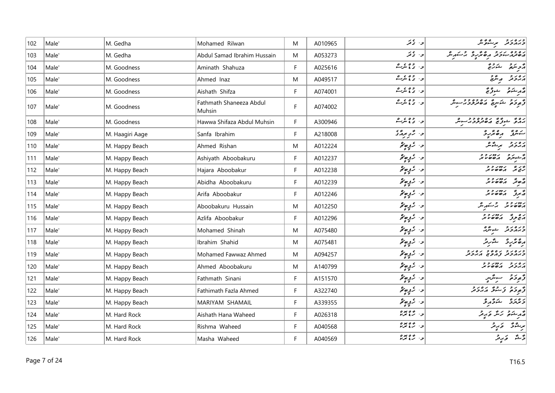| 102 | Male' | M. Gedha        | Mohamed Rilwan                    | M  | A010965 | وسی تھر                                                                                | ورەرو برخوش                                                                                                         |
|-----|-------|-----------------|-----------------------------------|----|---------|----------------------------------------------------------------------------------------|---------------------------------------------------------------------------------------------------------------------|
| 103 | Male' | M. Gedha        | Abdul Samad Ibrahim Hussain       | M  | A053273 | <sub>ح</sub> . گیمر                                                                    | גם כם גגב הפיזה כ 2 האת יל                                                                                          |
| 104 | Male' | M. Goodness     | Aminath Shahuza                   | F  | A025616 | و، وه پره                                                                              | أرتجه سيوريخ                                                                                                        |
| 105 | Male' | M. Goodness     | Ahmed Inaz                        | M  | A049517 | وسى وە ئەرھ                                                                            | أرور وبرمج                                                                                                          |
| 106 | Male' | M. Goodness     | Aishath Shifza                    | F. | A074001 | وسى وە ئەرھ                                                                            | و مرکز کا دیگر<br>مرکز کا مرکز کا کار کرد کردن کا کار کردن کا کار کردی کا کار کردی کے بات کے بات کے مال کردی کے لیے |
| 107 | Male' | M. Goodness     | Fathmath Shaneeza Abdul<br>Muhsin | F  | A074002 | وسى وە ئەرھ                                                                            | توجده شهريج مەمدىرومىس                                                                                              |
| 108 | Male' | M. Goodness     | Hawwa Shifaza Abdul Muhsin        | F  | A300946 | <sub>ح</sub> . ج ? میں م                                                               | رەپ ھۆكى رەدە دور بىر                                                                                               |
| 109 | Male' | M. Haagiri Aage | Sanfa Ibrahim                     | F  | A218008 | د . گ <sub>ی موه</sub> مهٔ د                                                           | سور دەندرو                                                                                                          |
| 110 | Male' | M. Happy Beach  | Ahmed Rishan                      | M  | A012224 | د کروه محمد<br>مشخص                                                                    | أرور ويشرق                                                                                                          |
| 111 | Male' | M. Happy Beach  | Ashiyath Aboobakuru               | F  | A012237 | ه کېږ په نو                                                                            | 22 133 1<br>J 40 0 1<br>پر مشود تر د<br>در مشود تره                                                                 |
| 112 | Male' | M. Happy Beach  | Hajara Aboobakur                  | F  | A012238 | و. د و په په                                                                           | מני נחנד ב                                                                                                          |
| 113 | Male' | M. Happy Beach  | Abidha Aboobakuru                 | F. | A012239 | د . <sub>ش</sub> وپه په                                                                | $77777$ $201$                                                                                                       |
| 114 | Male' | M. Happy Beach  | Arifa Aboobakur                   | F  | A012246 | ه کوهۀ                                                                                 | 77777<br>ەتىرىق                                                                                                     |
| 115 | Male' | M. Happy Beach  | Aboobakuru Hussain                | M  | A012250 | د. کروهگو                                                                              | נ דבג ב ב<br>1. סיס מ' מ<br>بر سە <sub>م</sub> رىش                                                                  |
| 116 | Male' | M. Happy Beach  | Azlifa Aboobakur                  | F  | A012296 | د . <sub>ش</sub> وپه په                                                                | ە ئى بۇ ئە                                                                                                          |
| 117 | Male' | M. Happy Beach  | Mohamed Shinah                    | M  | A075480 | ه به مز <sub>وجه مح</sub>                                                              | شەمگر <sup>0</sup><br>و ر ه ر و<br>و بر د تر تر                                                                     |
| 118 | Male' | M. Happy Beach  | Ibrahim Shahid                    | M  | A075481 | ه به مز <sub>وجه مح</sub>                                                              | رە ئۆر ئەر ئە                                                                                                       |
| 119 | Male' | M. Happy Beach  | Mohamed Fawwaz Ahmed              | M  | A094257 | د· گړېږ <i>مي</i>                                                                      | כנסנכ נסטב נסנב<br>בגהכת צהפש הגבת                                                                                  |
| 120 | Male' | M. Happy Beach  | Ahmed Aboobakuru                  | M  | A140799 | و. کوپه په                                                                             | נסנכ נחבר בכ<br>גגבע גםסטא                                                                                          |
| 121 | Male' | M. Happy Beach  | Fathmath Sinani                   | F  | A151570 | د کروه محمد<br>مشخص                                                                    | ۇ بەر ئەسىر ئىس<br>ئابور ئەسىر                                                                                      |
| 122 | Male' | M. Happy Beach  | Fathimath Fazla Ahmed             | F  | A322740 | و کروه گر                                                                              | تحج وحوار وواد و در و                                                                                               |
| 123 | Male' | M. Happy Beach  | MARIYAM SHAMAIL                   | F. | A339355 | ه کېږې وگړ                                                                             | رەرە شەھرىم                                                                                                         |
| 124 | Male' | M. Hard Rock    | Aishath Hana Waheed               | F  | A026318 | و به موجوده<br>و گډېمون                                                                | أما مرشوح كالمراكب والمراجر                                                                                         |
| 125 | Male' | M. Hard Rock    | Rishma Waheed                     | F. | A040568 | $\overset{o\times o\times}{\mathscr{S}}\overset{o\times}{\mathscr{S}}\cdot\mathscr{S}$ | ىرىشۇ قەرقر                                                                                                         |
| 126 | Male' | M. Hard Rock    | Masha Waheed                      | F. | A040569 | $\overset{o\times o\times}{\mathscr{S}}\overset{o}\mathscr{S}\cdot\mathscr{S}$         | رَّحْتُ وَرِيْرَ                                                                                                    |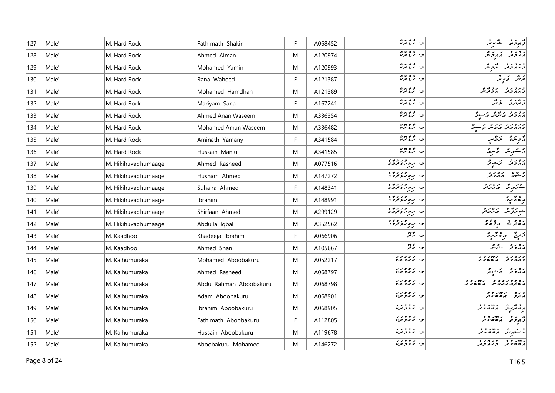| 127 | Male' | M. Hard Rock        | Fathimath Shakir        | F  | A068452 | و . محروم وه<br>و . مرغ مون                                      | قرموخرة مشربته                        |
|-----|-------|---------------------|-------------------------|----|---------|------------------------------------------------------------------|---------------------------------------|
| 128 | Male' | M. Hard Rock        | Ahmed Aiman             | M  | A120974 | و به عبره وه<br>و به محرم                                        | أمهوم مركبه                           |
| 129 | Male' | M. Hard Rock        | Mohamed Yamin           | M  | A120993 | و به عبره وه<br>و به محرم                                        | ورەرو ئەرش                            |
| 130 | Male' | M. Hard Rock        | Rana Waheed             | F. | A121387 | د به ۱۶۵۶ و                                                      | بَرْيَثَر - حَ بِرِيْرَ               |
| 131 | Male' | M. Hard Rock        | Mohamed Hamdhan         | M  | A121389 | و . محره بوه<br>و . محر <b>ب</b> ر                               | ورەرو رەپەە<br><i>جەم</i> ەدىر بەدىرس |
| 132 | Male' | M. Hard Rock        | Mariyam Sana            | F  | A167241 | د به عبره<br>د گډېمرما                                           | رەرە پەش                              |
| 133 | Male' | M. Hard Rock        | Ahmed Anan Waseem       | M  | A336354 | و . محره چوه<br>و . محرچ محرم                                    | ره رو بر بر بر کار ده                 |
| 134 | Male' | M. Hard Rock        | Mohamed Aman Waseem     | M  | A336482 | و . محره بوه<br>و . محر <b>ب</b> ر                               | ورەر د ررە ئەسو                       |
| 135 | Male' | M. Hard Rock        | Aminath Yamany          | F  | A341584 | وسمي ويوه                                                        | أأرد سكوم الركاسي                     |
| 136 | Male' | M. Hard Rock        | Hussain Maniu           | M  | A341585 | و . می وی ده<br>و . مرنا مورد                                    | بر کے مرید محسن                       |
| 137 | Male' | M. Hikihuvadhumaage | Ahmed Rasheed           | M  | A077516 |                                                                  | رەر دىكىسىد                           |
| 138 | Male' | M. Hikihuvadhumaage | Husham Ahmed            | M  | A147272 | ور وروده<br>وسر روکونوری                                         | ر شوه پره د و                         |
| 139 | Male' | M. Hikihuvadhumaage | Suhaira Ahmed           | F  | A148341 | و ۱ مربر رورو و در د<br>مربر مربر کورو د                         | ستردغر برورد                          |
| 140 | Male' | M. Hikihuvadhumaage | Ibrahim                 | M  | A148991 | و ۱ مربر کرورو د<br>د ۱ مربر کرورو د                             | ە ھەترىرى<br>برھ تىرىرى               |
| 141 | Male' | M. Hikihuvadhumaage | Shirfaan Ahmed          | M  | A299129 | و ۱ مربر رورو و در در در کالی<br>مربر مربر موفتر <del>د</del> کا | ے وہ وہ دور و<br>خوبمروکس ایربروتر    |
| 142 | Male' | M. Hikihuvadhumaage | Abdulla Iqbal           | M  | A352562 | و ۱ مربر کرورو ده<br>د ۱ مربر کرونو د                            | رەقراللە مەق قر                       |
| 143 | Male' | M. Kaadhoo          | Khadeeja Ibrahim        | F  | A066906 | و· موُفر                                                         | كزبرة مقتررة                          |
| 144 | Male' | M. Kaadhoo          | Ahmed Shan              | M  | A105667 | و· موُفر                                                         | رەر ئەر                               |
| 145 | Male' | M. Kalhumuraka      | Mohamed Aboobakuru      | M  | A052217 | وسنموه ترتما                                                     | 77777<br>ور ەر د<br>تر پر تر تر       |
| 146 | Male' | M. Kalhumuraka      | Ahmed Rasheed           | M  | A068797 | وسنموه بور                                                       | رەر ئەخىر                             |
| 147 | Male' | M. Kalhumuraka      | Abdul Rahman Aboobakuru | M  | A068798 | وستمرد ترتمية                                                    | נסכסנסים נמנככ<br>גםנג גיבית גםסיוג   |
| 148 | Male' | M. Kalhumuraka      | Adam Aboobakuru         | M  | A068901 | وستمرد ترتمية                                                    | בנס נחבר כב<br>געב גם <i>ס</i> ע      |
| 149 | Male' | M. Kalhumuraka      | Ibrahim Aboobakuru      | M  | A068905 | وسنموه ترتما                                                     | ىر ھەتتەر 2<br>ر<br>77777             |
| 150 | Male' | M. Kalhumuraka      | Fathimath Aboobakuru    | F  | A112805 | وسنموه ترتما                                                     | 77/77/<br>ږ بر د<br>ترجو حو           |
| 151 | Male' | M. Kalhumuraka      | Hussain Aboobakuru      | M  | A119678 | وسنمو ويزنا                                                      | 221321<br>KVOON<br>جرىسىمبرىتىر       |
| 152 | Male' | M. Kalhumuraka      | Aboobakuru Mohamed      | M  | A146272 | وسكوويون                                                         | נמנים פנסנים<br>גםסטיני כמגבת         |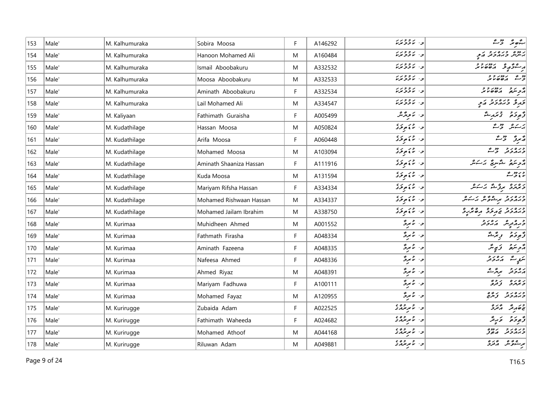| 153 | Male' | M. Kalhumuraka | Sobira Moosa            | F           | A146292 | وسكروج تركما                         | أيتموند وحسة                                |
|-----|-------|----------------|-------------------------|-------------|---------|--------------------------------------|---------------------------------------------|
| 154 | Male' | M. Kalhumuraka | Hanoon Mohamed Ali      | M           | A160484 | وسكروج تركما                         | ג כבס כגסגב ג'ת                             |
| 155 | Male' | M. Kalhumuraka | Ismail Aboobakuru       | M           | A332532 | ر د درر<br>د ۱ مارونزما              |                                             |
| 156 | Male' | M. Kalhumuraka | Moosa Aboobakuru        | M           | A332533 | وسكوونزن                             | $22722$ $23$                                |
| 157 | Male' | M. Kalhumuraka | Aminath Aboobakuru      | $\mathsf F$ | A332534 | وسنمو ويرز                           | 77777<br>أزدبتهم                            |
| 158 | Male' | M. Kalhumuraka | Lail Mohamed Ali        | M           | A334547 | ر د درر<br>د ۱ ماندونزا              | بحدو وبرورو كمع                             |
| 159 | Male' | M. Kaliyaan    | Fathimath Guraisha      | F           | A005499 | د ، ئاپرېژىش                         | توجوحو تحتمد                                |
| 160 | Male' | M. Kudathilage | Hassan Moosa            | M           | A050824 | د . ري .<br>د . ما ډېوڅه             | ير کے مراج کے حالات                         |
| 161 | Male' | M. Kudathilage | Arifa Moosa             | F           | A060448 | .<br> د ، مړۍ موځه                   | ە ئىمرۇ ئۇ شە                               |
| 162 | Male' | M. Kudathilage | Mohamed Moosa           | M           | A103094 | <sub>و</sub> ، غړې ځونه              | وره دو دور                                  |
| 163 | Male' | M. Kudathilage | Aminath Shaaniza Hassan | F           | A111916 | د ، غږې نړۍ                          | مۇجىنى شەرىخ ئاسەش                          |
| 164 | Male' | M. Kudathilage | Kuda Moosa              | M           | A131594 | <sub>و</sub> ، غړی ځونه              | د بردر شه                                   |
| 165 | Male' | M. Kudathilage | Mariyam Rifsha Hassan   | F           | A334334 | د ، مړۍ د ،                          | دەرە برۇڭ ئەسكىر                            |
| 166 | Male' | M. Kudathilage | Mohamed Rishwaan Hassan | M           | A334337 | د ، مړۍ موځه                         | ورەرو برخۇش برىكە                           |
| 167 | Male' | M. Kudathilage | Mohamed Jailam Ibrahim  | M           | A338750 | د ، مړۍ د د                          | ورەرو رمزى مەھرى                            |
| 168 | Male' | M. Kurimaa     | Muhidheen Ahmed         | M           | A001552 | د. تامرچٌ                            | و رور مدر در در د<br>د برمرمر مدرومر        |
| 169 | Male' | M. Kurimaa     | Fathmath Firasha        | F.          | A048334 | د . مأمودٌ                           | وتجوختم وبرشة                               |
| 170 | Male' | M. Kurimaa     | Aminath Fazeena         | F           | A048335 | د . ما <sub>مرد</sub> مح             | ړې سره زې ش                                 |
| 171 | Male' | M. Kurimaa     | Nafeesa Ahmed           | F           | A048336 | د . مأمودٌ                           | بر ٥ پر و<br>مربر و تعر<br> سَمَدٍ مُتَهُ   |
| 172 | Male' | M. Kurimaa     | Ahmed Riyaz             | M           | A048391 | د . مأمردٌ<br>ا                      | גם ג' בית בי                                |
| 173 | Male' | M. Kurimaa     | Mariyam Fadhuwa         | F           | A100111 | د . ما مردٌ<br>م                     | ره ره د ور                                  |
| 174 | Male' | M. Kurimaa     | Mohamed Fayaz           | M           | A120955 | وستمعرقر                             | כנסנכ נבס                                   |
| 175 | Male' | M. Kurirugge   | Zubaida Adam            | F           | A022525 | و . ما موجود و .<br>و . ما موجود و . | <i>בט</i> ת <i>בית</i>                      |
| 176 | Male' | M. Kurirugge   | Fathimath Waheeda       | F           | A024682 | כי מית בסים<br>כי מית המג            | وتموزة وريتر                                |
| 177 | Male' | M. Kurirugge   | Mohamed Athoof          | M           | A044168 | و . ما موجوړي<br>و . ما موجوړي       | و ره ر و<br>تر پر ژنر<br>ر دو ه<br>در جو تر |
| 178 | Male' | M. Kurirugge   | Riluwan Adam            | M           | A049881 | ه . ما موسروه ،                      | برنده شره وره                               |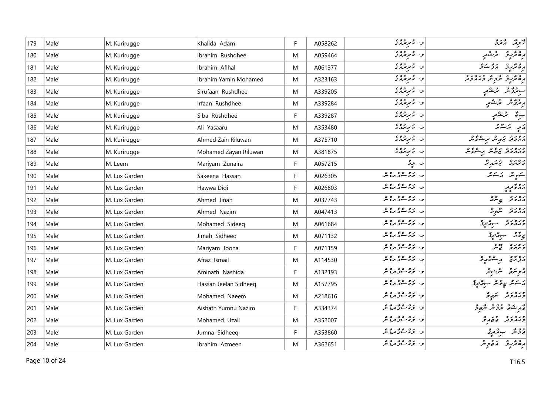| 179 | Male' | M. Kurirugge  | Khalida Adam          | F | A058262 | כ י מ' מי מרי ג'                                               | أدَّحِيَّرَ الْمُعْرَى                       |
|-----|-------|---------------|-----------------------|---|---------|----------------------------------------------------------------|----------------------------------------------|
| 180 | Male' | M. Kurirugge  | Ibrahim Rushdhee      | M | A059464 | $\begin{smallmatrix} 0 & 2 & 2 \\ 2 & 2 & 4 \end{smallmatrix}$ | رە ئرىرو برىشىر                              |
| 181 | Male' | M. Kurirugge  | Ibrahim Aflhal        | M | A061377 | כי עיקידות 2<br>כי עיקידות 2                                   | رەپرىر روزىۋ                                 |
| 182 | Male' | M. Kurirugge  | Ibrahim Yamin Mohamed | M | A323163 | $599 - 59$                                                     | גם ג'קב הצייר בגבבת                          |
| 183 | Male' | M. Kurirugge  | Sirufaan Rushdhee     | M | A339205 | כי מית בם ג                                                    | سىرتۇش بۇيقىر                                |
| 184 | Male' | M. Kurirugge  | Irfaan Rushdhee       | M | A339284 | $5922 - 5$                                                     | ار جوړ شو مر <u>شور</u><br>ابر مرکز مر مرشور |
| 185 | Male' | M. Kurirugge  | Siba Rushdhee         | F | A339287 | כי עיקידורים<br>כי עיקידורים                                   | سوڭ مۇشۇمرٍ                                  |
| 186 | Male' | M. Kurirugge  | Ali Yasaaru           | M | A353480 | و . مه بروه ،<br>و . ما بوبورو                                 | أەيىي بىر شىتىر                              |
| 187 | Male' | M. Kurirugge  | Ahmed Zain Riluwan    | M | A375710 | $59.75 - 5$                                                    | رەر دېرىگە برىشۇش                            |
| 188 | Male' | M. Kurirugge  | Mohamed Zayan Riluwan | M | A381875 | כ י מ' זה כם ג'<br>כ י מ' זה זה ג'                             | ورەرو رومر پرىشوشر                           |
| 189 | Male' | M. Leem       | Mariyam Zunaira       | F | A057215 | و٠ بودگ                                                        | ג פינים - ביתה ב                             |
| 190 | Male' | M. Lux Garden | Sakeena Hassan        | F | A026305 | د . ئەن مۇيدى مە                                               | سەر پىتىر<br>برسەمىر                         |
| 191 | Male' | M. Lux Garden | Hawwa Didi            | F | A026803 | ى ئەرەر مەسىرە بىر                                             | پر هر تو تو تور                              |
| 192 | Male' | M. Lux Garden | Ahmed Jinah           | M | A037743 | ە بە ئۇن <sub>م</sub> ىق ئەرە بىر                              | د ۱۵ د ح محمد                                |
| 193 | Male' | M. Lux Garden | Ahmed Nazim           | M | A047413 | د . بۇ ئەھمەتىرى بىر                                           | رەرو شەرە                                    |
| 194 | Male' | M. Lux Garden | Mohamed Sideeq        | M | A061684 | ى ئەرەرە ئەيدە بىر                                             | ورەرو بەھەد                                  |
| 195 | Male' | M. Lux Garden | Jimah Sidheeq         | M | A071132 | ى ئەرەرە ئەيدە بىر                                             | پروگر مسور سور پروگری<br>  پروگر مسیر مسیر   |
| 196 | Male' | M. Lux Garden | Mariyam Joona         | F | A071159 | د . ئەرەر دەپىرە بىر                                           | ر ہ رہ دو ہے<br>تر بیربر کے س                |
| 197 | Male' | M. Lux Garden | Afraz Ismail          | M | A114530 | ى ئەرەرە ئەيدە بىر                                             | ر ە بە ە<br>برے څه یو                        |
| 198 | Male' | M. Lux Garden | Aminath Nashida       | F | A132193 | ى ئەرەر مەسىرە بىر                                             | مەھ ئىكى ئىستى ئىشونىگە                      |
| 199 | Male' | M. Lux Garden | Hassan Jeelan Sidheeg | M | A157795 | <sub>چ</sub> . ئەر ئەر ئەر ئابىر                               | برَسَسٌ وٍ وَّسْ سِرْرُورٍ وَ                |
| 200 | Male' | M. Lux Garden | Mohamed Naeem         | M | A218616 | د . ئەر مەمۇبىرە بىر                                           | ورەرو شھرى                                   |
| 201 | Male' | M. Lux Garden | Aishath Yumnu Nazim   | F | A334374 | ى ئەرەرە ئەيدە بىر                                             | و مشور ده د گرم د                            |
| 202 | Male' | M. Lux Garden | Mohamed Uzail         | M | A352007 | ى ئەرەپ مەسىرە بىر                                             | כממכת במת                                    |
| 203 | Male' | M. Lux Garden | Jumna Sidheeq         | F | A353860 | د . ئەرەر دەپىرە بىر                                           | اده و سوه ده.<br>انحاد شرکت سوه در د         |
| 204 | Male' | M. Lux Garden | Ibrahim Azmeen        | M | A362651 | ى ئەرەر <i>مۇيىرە بىر</i>                                      | رە ئەر ئەن ئەر                               |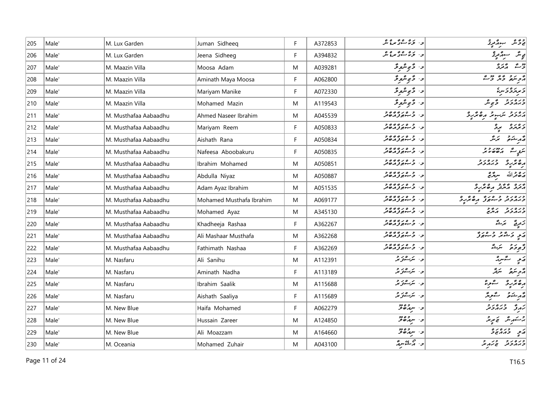| 205 | Male' | M. Lux Garden         | Juman Sidheeq            | F           | A372853 | ى ئەرەرە ئەرەپ <sub>ى</sub>                         | و ۶ ه<br>قع <del>گ</del> رمگر<br>سبوړ تورتز<br>مر     |
|-----|-------|-----------------------|--------------------------|-------------|---------|-----------------------------------------------------|-------------------------------------------------------|
| 206 | Male' | M. Lux Garden         | Jeena Sidheeg            | F           | A394832 | ى ئەرەرە ئەيدە بىر                                  | ىچە ئىگر<br>سىدە تورىخ                                |
| 207 | Male' | M. Maazin Villa       | Moosa Adam               | M           | A039281 | د· دڻمي ش <sub>ھو</sub> مڅ                          | دیں میں م<br>پور ہ<br>مرتزو                           |
| 208 | Male' | M. Maazin Villa       | Aminath Maya Moosa       | F           | A062800 | د· ځې شوځ                                           | پر در در در د                                         |
| 209 | Male' | M. Maazin Villa       | Mariyam Manike           | F           | A072330 | ر· ۇ <sub>م</sub> بىر بۇ                            | ئە <i>پرەۋ</i> ئەرىئا                                 |
| 210 | Male' | M. Maazin Villa       | Mohamed Mazin            | M           | A119543 | ر· ۇ <sub>م</sub> ئىرمۇ ئ                           | ورەرو ۇي                                              |
| 211 | Male' | M. Musthafaa Aabaadhu | Ahmed Naseer Ibrahim     | M           | A045539 | و و ه ره و د و<br>و . و ب د چ و پر ځ تر             | י פי 3 יינה בי השיביבים בי הס                         |
| 212 | Male' | M. Musthafaa Aabaadhu | Mariyam Reem             | F           | A050833 | د و ه ر د د د د<br>د کر سورتر مص                    | ر ه بر ه<br><del>ر</del> بر بر ژ<br>ىبرچ              |
| 213 | Male' | M. Musthafaa Aabaadhu | Aishath Rana             | F.          | A050834 | و و ه ره د د و<br>و و ب و و د ه تر                  | ىرىتر<br>و<br>پر گر شکو                               |
| 214 | Male' | M. Musthafaa Aabaadhu | Nafeesa Aboobakuru       | F.          | A050835 | و مەرەبەدە<br>و· ۋېسىبى ۋە ھەتر                     | اسَموِتْ<br>77777                                     |
| 215 | Male' | M. Musthafaa Aabaadhu | Ibrahim Mohamed          | M           | A050851 | د و ه ر د د د د<br>د که سوبو ز مرحاتر               | ە ھەترىر <sup>ە</sup><br>و ره ر و<br><i>د ب</i> رگرفر |
| 216 | Male' | M. Musthafaa Aabaadhu | Abdulla Niyaz            | M           | A050887 | و ه د ه د پر پرو<br>و په سرچونۍ ه تو                | ەھىراللە<br>سرگرم                                     |
| 217 | Male' | M. Musthafaa Aabaadhu | Adam Ayaz Ibrahim        | M           | A051535 | د و ه ر د د د د<br>د که سوبو ز مرحاتر               | رده درو ده در                                         |
| 218 | Male' | M. Musthafaa Aabaadhu | Mohamed Musthafa Ibrahim | M           | A069177 | و و ه ره و د و<br>و . و <i>سوچ</i> ژ پر <i>ه</i> تر |                                                       |
| 219 | Male' | M. Musthafaa Aabaadhu | Mohamed Ayaz             | M           | A345130 | د و ه ر د د د د<br>د و ب د و ز مر ه تر              | כנסנב נבב<br>בגהכת התב                                |
| 220 | Male' | M. Musthafaa Aabaadhu | Khadheeja Rashaa         | E           | A362267 | و ه د ه د په د و<br>و ۰ د سوچ و د ه تر              | كزمرقة الكرجنة                                        |
| 221 | Male' | M. Musthafaa Aabaadhu | Ali Mashaar Musthafa     | M           | A362268 | و و ه ره د د و<br>و و ب و و د ه تر                  | ړې د شر د ۲۶۰۰                                        |
| 222 | Male' | M. Musthafaa Aabaadhu | Fathimath Nashaa         | F           | A362269 | و ه د ه د په د و<br>د ۱ گر سوچ و پر ځنگر            | وٌمودَهُ سَرَجٌ                                       |
| 223 | Male' | M. Nasfaru            | Ali Sanihu               | M           | A112391 | ى . سۇستۇتونىز                                      | ړې ش <sub>مېر</sub> ه<br>مړ                           |
| 224 | Male' | M. Nasfaru            | Aminath Nadha            | $\mathsf F$ | A113189 | ى . سۇس <sup>ى</sup> رىمە                           | أروبترة<br>سرتر                                       |
| 225 | Male' | M. Nasfaru            | Ibrahim Saalik           | M           | A115688 | ى . سۇس <sup>ى</sup> رىمە                           | ە ھەترىرى<br>برھەترىرى                                |
| 226 | Male' | M. Nasfaru            | Aishath Saaliya          | F           | A115689 | ە . سۇستۇتىر                                        | ر<br>د که د مشوی<br>ستكوتر                            |
| 227 | Male' | M. New Blue           | Haifa Mohamed            | E           | A062279 | כי ייממים בי<br>כי ייממים ב                         | و ره ر و<br><i>د ب</i> رگرفر<br>تربرگ                 |
| 228 | Male' | M. New Blue           | Hussain Zareer           | M           | A124850 | כי יימרים בי<br>כי יימרים <del>ב</del>              | ير ڪرمانگرام کامبريز                                  |
| 229 | Male' | M. New Blue           | Ali Moazzam              | M           | A164660 | כי ייט <i>בס בר</i>                                 |                                                       |
| 230 | Male' | M. Oceania            | Mohamed Zuhair           | M           | A043100 | و . گريمئوسوگر                                      |                                                       |
|     |       |                       |                          |             |         |                                                     |                                                       |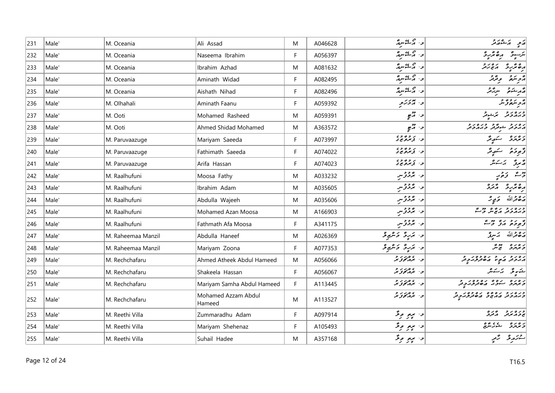| 231 | Male' | M. Oceania         | Ali Assad                     | M         | A046628 | و. مەشكەسىد                   | أوسمج وكالمشرور                                                |
|-----|-------|--------------------|-------------------------------|-----------|---------|-------------------------------|----------------------------------------------------------------|
| 232 | Male' | M. Oceania         | Naseema Ibrahim               | F         | A056397 | وبهم في في سر                 | ىئەسىزى<br>ئ                                                   |
| 233 | Male' | M. Oceania         | Ibrahim Azhad                 | ${\sf M}$ | A081632 | اح می می سر                   | ېر چې پېر د<br>ر<br>پر 2 تر قر                                 |
| 234 | Male' | M. Oceania         | Aminath Widad                 | F         | A082495 | و. د هغه پیم                  | ړٌ پر سَر په ورتر                                              |
| 235 | Male' | M. Oceania         | Aishath Nihad                 | F         | A082496 | اح مي سيم مير                 | ەگەر شەھ<br>سورگتر                                             |
| 236 | Male' | M. Olhahali        | Aminath Faanu                 | F         | A059392 | وسيخركر و                     | ۇ ئەسھۇر ئىر                                                   |
| 237 | Male' | M. Ooti            | Mohamed Rasheed               | M         | A059391 | ر. "ج                         | ورەرو كەنبەتى                                                  |
| 238 | Male' | M. Ooti            | Ahmed Shidad Mohamed          | M         | A363572 | ر برج                         | رەر د عوش درەر د<br>مەدومى خوش دىمەدومى                        |
| 239 | Male' | M. Paruvaazuge     | Mariyam Saeeda                | F         | A073997 | ر و د و و و<br>و · گرمرخ می   | و ورو کردگر                                                    |
| 240 | Male' | M. Paruvaazuge     | Fathimath Saeeda              | F         | A074022 | ر و د و و و<br>و · گرمرخ می و | أزُّمُوحَمْ سَنَ يَدَيَّرُ                                     |
| 241 | Male' | M. Paruvaazuge     | Arifa Hassan                  | F         | A074023 | ر و د و و د<br>و · گرمرگومی د | ەئىبەر ئەسەھ                                                   |
| 242 | Male' | M. Raalhufuni      | Moosa Fathy                   | ${\sf M}$ | A033232 | د <sub>ا</sub> مردونبر        | ادو شهر از در در به سال میتوانید.<br>احراک                     |
| 243 | Male' | M. Raalhufuni      | Ibrahim Adam                  | ${\sf M}$ | A035605 | د . برگروه مر                 | دە ئەرە مەدە                                                   |
| 244 | Male' | M. Raalhufuni      | Abdulla Wajeeh                | ${\sf M}$ | A035606 | ى بە ئۇقۇس                    | حق ه عرالله تحقي حر                                            |
| 245 | Male' | M. Raalhufuni      | Mohamed Azan Moosa            | M         | A166903 | د . برگروه مر                 | כנסגב גם משירי                                                 |
| 246 | Male' | M. Raalhufuni      | Fathmath Afa Moosa            | F         | A341175 | د . برگروه مر                 | أزّووه أردّ وقت                                                |
| 247 | Male' | M. Raheemaa Manzil | Abdulla Haneef                | M         | A026369 | د نرېږ د شمې                  | 20 قرالله برسور                                                |
| 248 | Male' | M. Raheemaa Manzil | Mariyam Zoona                 | F         | A077353 | ه . ټرېر ځمکونو               | ב זה כבוד.                                                     |
| 249 | Male' | M. Rechchafaru     | Ahmed Atheek Abdul Hameed     | M         | A056066 | و میمرگور کو                  | גם גב גם גם כפגב.<br>גגבת הם יי הסתיבגבת                       |
| 250 | Male' | M. Rechchafaru     | Shakeela Hassan               | F         | A056067 | وسيمار كالمحوز مر             | خۇرۇ ئەسكىر                                                    |
| 251 | Male' | M. Rechchafaru     | Mariyam Samha Abdul Hameed    | F         | A113445 | و میمرگور کو                  | ג סגם גם זה גם כם גב<br>בינו <i>וב –יכ</i> ג השנק <i>בגב</i> נ |
| 252 | Male' | M. Rechchafaru     | Mohamed Azzam Abdul<br>Hameed | M         | A113527 | و برو مور د                   | כנסגב גם 20 גם 2005 ב<br>בגתכת גתשב גםתיבתבת                   |
| 253 | Male' | M. Reethi Villa    | Zummaradhu Adam               | F         | A097914 | و· برم وِڈ                    | و ره ر و<br>بح <del>و</del> د برتر<br>پور ہ<br>مرکزو           |
| 254 | Male' | M. Reethi Villa    | Mariyam Shehenaz              | F         | A105493 | د· بره ودٌ                    | ر ه ر ه<br><del>ر</del> بربر د<br>ے ئ <i>ے م</i> رچ            |
| 255 | Male' | M. Reethi Villa    | Suhail Hadee                  | M         | A357168 | د· برم وِڈ                    | ستركر بمح المحمي                                               |
|     |       |                    |                               |           |         |                               |                                                                |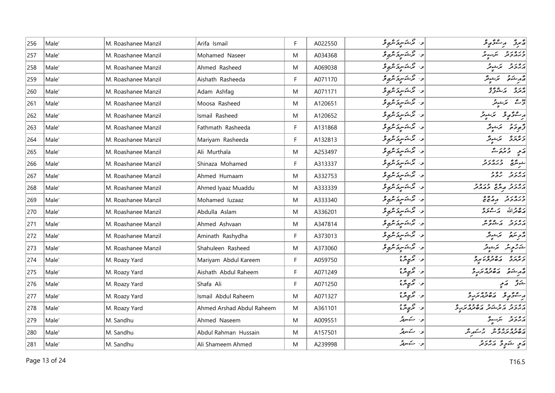| 256 | Male' | M. Roashanee Manzil | Arifa Ismail              | F | A022550 | <mark>و. ئۇيسۇسى</mark> ر ئىسىمى ئى         | أشهرق وكشحوهم                                                   |
|-----|-------|---------------------|---------------------------|---|---------|---------------------------------------------|-----------------------------------------------------------------|
| 257 | Male' | M. Roashanee Manzil | Mohamed Naseer            | M | A034368 | و ، ئۇيغۇ بېرى ئىزى ئى                      | ورەرو شهید                                                      |
| 258 | Male' | M. Roashanee Manzil | Ahmed Rasheed             | M | A069038 | <mark>و. ئرېشورتر شوې</mark> ئ              | رەر تەرىپىدە<br>مەركىر تەش <sub>ە</sub> ر                       |
| 259 | Male' | M. Roashanee Manzil | Aishath Rasheeda          | F | A071170 | ر . ئۇيغۇمبرى <i>م تىلبى</i> رى             | مەر شەق ئىر شوقر                                                |
| 260 | Male' | M. Roashanee Manzil | Adam Ashfaq               | M | A071171 | و . ئۇ شۇسرىز شىي ئى                        | پره کې ده وه<br>مرکز کې شوتونو                                  |
| 261 | Male' | M. Roashanee Manzil | Moosa Rasheed             | M | A120651 | ى گرېئوسرى ش <sub>ك</sub> و                 | لوحي كرشونر                                                     |
| 262 | Male' | M. Roashanee Manzil | Ismail Rasheed            | M | A120652 | و . ئۇشكىرى ئىر ئىر ئىل                     | أبر ساءة مريخ المرسور المراجع                                   |
| 263 | Male' | M. Roashanee Manzil | Fathmath Rasheeda         | F | A131868 | و ، ئۇيخەسرىز ئارىم ئى                      | توجوخا بمنفوش                                                   |
| 264 | Male' | M. Roashanee Manzil | Mariyam Rasheeda          | F | A132813 | و ، ئۇشكىرى ئىرىمى ئى                       | د ۱۵ ده په کار شونگر                                            |
| 265 | Male' | M. Roashanee Manzil | Ali Murthala              | M | A253497 | <mark>ى، ئۇخ<sub>ت</sub>ىرى</mark> ئىرىم    | أوسم والمروث                                                    |
| 266 | Male' | M. Roashanee Manzil | Shinaza Mohamed           | F | A313337 | <sub>و</sub> . ئ <sub>ۇشك</sub> ېرىدىگى پى  | الحوشريح<br>و ره ر و<br>رنگرونر                                 |
| 267 | Male' | M. Roashanee Manzil | Ahmed Humaam              | M | A332753 | ى گرېئوسرى ش <sub>ك</sub> و                 | ره رو و و و د                                                   |
| 268 | Male' | M. Roashanee Manzil | Ahmed Iyaaz Muaddu        | M | A333339 | و . ئۇ شەھرىر تىرىمى ئى                     | גפגב <sub>היי</sub> ש כגם כ<br>הגבע <sub>היי</sub> ש כבהע       |
| 269 | Male' | M. Roashanee Manzil | Mohamed luzaaz            | M | A333340 | د. ئۇخۇمبرىز ئىرىمۇ                         | כנסנג הביש                                                      |
| 270 | Male' | M. Roashanee Manzil | Abdulla Aslam             | M | A336201 | و . ئۇشكىرى ئىر ئىر ئىل                     | برعبود<br><mark>بر25</mark> مرالله                              |
| 271 | Male' | M. Roashanee Manzil | Ahmed Ashvaan             | M | A347814 | و . ئۇشكىرى ئىر ئىر ئىل                     | رەرد كەشۈش<br>مەردىر مەشۋىر                                     |
| 272 | Male' | M. Roashanee Manzil | Aminath Rashydha          | F | A373013 | ى گرىخ <sub>ت</sub> ېرى <i>خ شى</i> رى<br>. | أأدو يتكفى التمرشوند                                            |
| 273 | Male' | M. Roashanee Manzil | Shahuleen Rasheed         | M | A373060 | <mark>ى ئۇيمۇس<sub>ى</sub>رى ش</mark> ىر ق  | كالمكرم محتار المراسي                                           |
| 274 | Male' | M. Roazy Yard       | Mariyam Abdul Kareem      | F | A059750 | ح به مرتبع پر مح                            | נפנים נפרסנים<br>המחה השתתעיתה                                  |
| 275 | Male' | M. Roazy Yard       | Aishath Abdul Raheem      | F | A071249 | حرا محرى ومحرقح                             | و در ده ده ده در ه<br>در شوه در در بر                           |
| 276 | Male' | M. Roazy Yard       | Shafa Ali                 | F | A071250 | د . نژ <sub>یم</sub> ژب <sub>ه</sub>        | خترق الأمج                                                      |
| 277 | Male' | M. Roazy Yard       | Ismail Abdul Raheem       | M | A071327 | د . نژ <sub>یم</sub> ژب <sub>ه</sub>        | ر مؤرد مصر مورد                                                 |
| 278 | Male' | M. Roazy Yard       | Ahmed Arshad Abdul Raheem | M | A361101 | <sub>ح</sub> . ئۇ پەردىم                    | ره ر د پر د بر د بره ده در ه<br>م.پروتر م.پر شوتر م.ه ترم.پر پر |
| 279 | Male' | M. Sandhu           | Ahmed Naseem              | M | A009551 | واستكسره                                    | دەرو سرىدۇ                                                      |
| 280 | Male' | M. Sandhu           | Abdul Rahman Hussain      | M | A157501 | واستكسرته                                   | גם כם גם כם כבית ים                                             |
| 281 | Male' | M. Sandhu           | Ali Shameem Ahmed         | M | A239998 | و، ڪسرپڙ                                    | أركمي المكوح أركاه والمحافر                                     |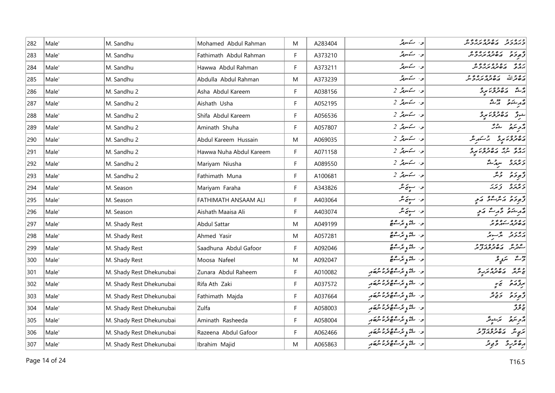| 282 | Male' | M. Sandhu                | Mohamed Abdul Rahman    | M           | A283404 | و، سکس پر                                                               | כנסנכ נסכסנסקס<br><i>כג</i> ו <i>ג</i> כנ <i>ג גי</i> סנג <i>גיגיכ</i> ייק |
|-----|-------|--------------------------|-------------------------|-------------|---------|-------------------------------------------------------------------------|----------------------------------------------------------------------------|
| 283 | Male' | M. Sandhu                | Fathimath Abdul Rahman  | F.          | A373210 | و، ڪسرپر                                                                | ر ه وه ر ه د ه<br>پره تربر تر س<br>وٌ جو تر قر                             |
| 284 | Male' | M. Sandhu                | Hawwa Abdul Rahman      | F           | A373211 | و . سکسرټر                                                              | ر ه بو<br>برد څ<br>ر ه د ه د ه د ه<br>پره تربر تر تر                       |
| 285 | Male' | M. Sandhu                | Abdulla Abdul Rahman    | M           | A373239 | و، سەسرىر                                                               | ر ه و و ه ر ه و و<br>پره تعربر تر س<br>ەھىراللە                            |
| 286 | Male' | M. Sandhu 2              | Asha Abdul Kareem       | F           | A038156 | و. سەسىتى 2                                                             | و ده ده ده ده و<br>مر شو می ترونو                                          |
| 287 | Male' | M. Sandhu 2              | Aishath Usha            | F           | A052195 | و. سەسىر 2                                                              |                                                                            |
| 288 | Male' | M. Sandhu 2              | Shifa Abdul Kareem      | F           | A056536 | و. سەسىر 2                                                              | شوژ ره وه در د                                                             |
| 289 | Male' | M. Sandhu 2              | Aminath Shuha           | F           | A057807 | و. سەسىر 2                                                              | ړ څخه شور                                                                  |
| 290 | Male' | M. Sandhu 2              | Abdul Kareem Hussain    | M           | A069035 | و. سەسىر 2                                                              | גם כפני גם הבית יירי האית.<br>הסתוכני <sub>מהב</sub>                       |
| 291 | Male' | M. Sandhu 2              | Hawwa Nuha Abdul Kareem | F.          | A071158 | و. سەسىر 2                                                              | ره و محمد ده وور ره<br>بروغ سربر مان وور محمد                              |
| 292 | Male' | M. Sandhu 2              | Mariyam Niusha          | F           | A089550 | و. سەسىر 2                                                              | ره ره سرگ                                                                  |
| 293 | Male' | M. Sandhu 2              | Fathimath Muna          | F           | A100681 | و. سەسىتى 2                                                             | تر شر<br>ۇ بوخ <sup>ى</sup>                                                |
| 294 | Male' | M. Season                | Mariyam Faraha          | F           | A343826 | حەسبە ئەيشر                                                             | رەرە زىر                                                                   |
| 295 | Male' | M. Season                | FATHIMATH ANSAAM ALI    | $\mathsf F$ | A403064 | حەسبە ئەيمىگە                                                           | وتجوده ماراعو مأمج                                                         |
| 296 | Male' | M. Season                | Aishath Maaisa Ali      | F           | A403074 | ح• سىيىچىلگە                                                            | وأرشكم والرائد وأبي                                                        |
| 297 | Male' | M. Shady Rest            | <b>Abdul Sattar</b>     | M           | A049199 | والشكو يركبوها                                                          | ره وه رره د و<br>پرې تربر سربره د                                          |
| 298 | Male' | M. Shady Rest            | Ahmed Yasir             | M           | A057281 | والتشكي تكرك همج                                                        | دەر دۇسىيە                                                                 |
| 299 | Male' | M. Shady Rest            | Saadhuna Abdul Gafoor   | F           | A092046 | والتشوير شقط                                                            | د د د ده ده د د د<br>سندرس ماه مرحم تر بر                                  |
| 300 | Male' | M. Shady Rest            | Moosa Nafeel            | M           | A092047 | والشكو تركيفح                                                           | ر پيءِ سَمَدٍ و                                                            |
| 301 | Male' | M. Shady Rest Dhekunubai | Zunara Abdul Raheem     | F           | A010082 | و. شو مرحوم مرور و در                                                   | و دی ده ده در و                                                            |
| 302 | Male' | M. Shady Rest Dhekunubai | Rifa Ath Zaki           | F           | A037572 | و . شو و مرد و د و در<br>و . شو و مرسو ه تر د سره د                     | برؤدة وأحما                                                                |
| 303 | Male' | M. Shady Rest Dhekunubai | Fathimath Majda         | F           | A037664 | ح مدينه و عراق و در مدين برخانه بر<br>ح مدينو و مركب عراق برخانه برخانه | و و د دور                                                                  |
| 304 | Male' | M. Shady Rest Dhekunubai | Zulfa                   | F           | A058003 | د . شو و ده د د در سرخه<br>د . شو و مر سوخ تر د سرخه ر                  | و ه و.<br>مح گرگ                                                           |
| 305 | Male' | M. Shady Rest Dhekunubai | Aminath Rasheeda        | F.          | A058004 | د . شو و ده و د در سرخه د<br>د . شو و مر سوخ تر د سرخه د                | أأرجع أتركمو                                                               |
| 306 | Male' | M. Shady Rest Dhekunubai | Razeena Abdul Gafoor    | F           | A062466 | ح شقي تر صوفر <i>مرتق</i> د                                             | بئرى يثر<br>ر ه د ه د دد د<br>پره تر پر تر بر                              |
| 307 | Male' | M. Shady Rest Dhekunubai | Ibrahim Majid           | M           | A065863 | د . ځو پر شوه درسره د کار                                               | أرە ئەر ئەي ئە                                                             |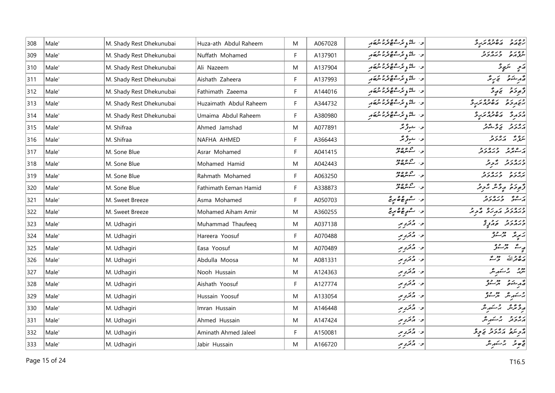| 308 | Male' | M. Shady Rest Dhekunubai | Huza-ath Abdul Raheem  | M           | A067028 | و . شو و مرد و د ده د .<br>و . شو و مرسو و در سرچم                 | ره وه ر ره<br>پره تربر تر<br>ح پچ پر ح<br>مربح <sub>ا</sub> رمو                                                         |
|-----|-------|--------------------------|------------------------|-------------|---------|--------------------------------------------------------------------|-------------------------------------------------------------------------------------------------------------------------|
| 309 | Male' | M. Shady Rest Dhekunubai | Nuffath Mohamed        | $\mathsf F$ | A137901 | وسنشي تر مصر و مرضور برخانه                                        | و ره ر و<br><i>د ب</i> رگرفر<br>سروبر و                                                                                 |
| 310 | Male' | M. Shady Rest Dhekunubai | Ali Nazeem             | M           | A137904 | د . گنجو تر شوه تر <i>بر شهر</i>                                   | ړې سرې د                                                                                                                |
| 311 | Male' | M. Shady Rest Dhekunubai | Aishath Zaheera        | F           | A137993 | و . شو و کرده و در در<br>و . شو و مر سود در سره در                 | د .<br>د گهرسشومو<br>ىج سپەتتىر                                                                                         |
| 312 | Male' | M. Shady Rest Dhekunubai | Fathimath Zaeema       | F.          | A144016 | و. مشور محدود معرض معرض المحدد                                     | و مر د<br>ىجەرچ                                                                                                         |
| 313 | Male' | M. Shady Rest Dhekunubai | Huzaimath Abdul Raheem | F           | A344732 |                                                                    | ره وه ره<br>پره تربر تر<br>برنج وبرحم                                                                                   |
| 314 | Male' | M. Shady Rest Dhekunubai | Umaima Abdul Raheem    | F           | A380980 | د . شو و ده و د و د در<br>د . شو و تر سوه تر را سر <del>ه</del> بر | ره وه ر ره<br>پره تربر تر<br>وزمرة                                                                                      |
| 315 | Male' | M. Shifraa               | Ahmed Jamshad          | M           | A077891 | او. ڪوڙنگر<br>ڪسيڪ                                                 | رەر دەرەپ<br>مەركىر ئىمى شەر                                                                                            |
| 316 | Male' | M. Shifraa               | NAFHA AHMED            | F.          | A366443 | و. خوتونگر                                                         | برە بەر بەر د                                                                                                           |
| 317 | Male' | M. Sone Blue             | Asrar Mohamed          | F           | A041415 | د. سره دور                                                         | ر ۱۵ پر د<br>و ره ر و<br><i>د ب</i> رگرفر                                                                               |
| 318 | Male' | M. Sone Blue             | Mohamed Hamid          | M           | A042443 | د . ک مردم د                                                       | ورەر دۇر                                                                                                                |
| 319 | Male' | M. Sone Blue             | Rahmath Mohamed        | F           | A063250 | د . ک عرصور                                                        | נסגל כנסגל<br><i>בגב</i> יק <i>בג</i> ונקט                                                                              |
| 320 | Male' | M. Sone Blue             | Fathimath Eeman Hamid  | $\mathsf F$ | A338873 | د . ک عرصو                                                         | وتموخو رؤير بزويز                                                                                                       |
| 321 | Male' | M. Sweet Breeze          | Asma Mohamed           | F           | A050703 | و. ڪوچھ هي                                                         | د ده دره در                                                                                                             |
| 322 | Male' | M. Sweet Breeze          | Mohamed Aiham Amir     | M           | A360255 | د . سگو ۱۳۵۵ مربع                                                  | כמחכת התמכ הכת                                                                                                          |
| 323 | Male' | M. Udhagiri              | Muhammad Thaufeeq      | M           | A037138 | -<br> حسینی محمد محمد                                              | دره در در دره<br>  دبر مرد در مرد بر                                                                                    |
| 324 | Male' | M. Udhagiri              | Hareera Yoosuf         | F           | A070488 | —<br> ح• مەقترىرىس                                                 | ېرىيە تەرىپى تۈرگىنى ئەن ئايدا ئايدا ئايدا ئايدا ئايدا ئايدا ئايدا ئايدا ئايدا ئايدا ئايدا ئايدا ئايدا ئايدا ئ<br>مەنبە |
| 325 | Male' | M. Udhagiri              | Easa Yoosuf            | M           | A070489 | —<br>اح• مەتترىرىپر                                                | ېږ شه چې تر ده وه                                                                                                       |
| 326 | Male' | M. Udhagiri              | Abdulla Moosa          | M           | A081331 | <br> حسیق محمد محمد محمد                                           | مَدْهِ مِنْ اللّهِ حِيْثَ                                                                                               |
| 327 | Male' | M. Udhagiri              | Nooh Hussain           | M           | A124363 | —<br> ح• مەتترىرىس                                                 | متزلز برسكهرمثر                                                                                                         |
| 328 | Male' | M. Udhagiri              | Aishath Yoosuf         | $\mathsf F$ | A127774 | —<br>اح• اړکونومو                                                  | ە ئەرىشىمە ھەسىرى                                                                                                       |
| 329 | Male' | M. Udhagiri              | Hussain Yoosuf         | M           | A133054 | —<br>احن م <i>متون م</i> ر                                         | بر سکه میں مرکز وہ                                                                                                      |
| 330 | Male' | M. Udhagiri              | Imran Hussain          | M           | A146448 | <br> حسن محتمد س                                                   | ودمحمد بمسكور                                                                                                           |
| 331 | Male' | M. Udhagiri              | Ahmed Hussain          | M           | A147424 | -<br> حسینی محمد محمد                                              | رەرو جەمرىر                                                                                                             |
| 332 | Male' | M. Udhagiri              | Aminath Ahmed Jaleel   | F           | A150081 | —<br>احن م <i>مکمی م</i> ر                                         |                                                                                                                         |
| 333 | Male' | M. Udhagiri              | Jabir Hussain          | M           | A166720 |                                                                    | الخ صمر بر سكور مثل                                                                                                     |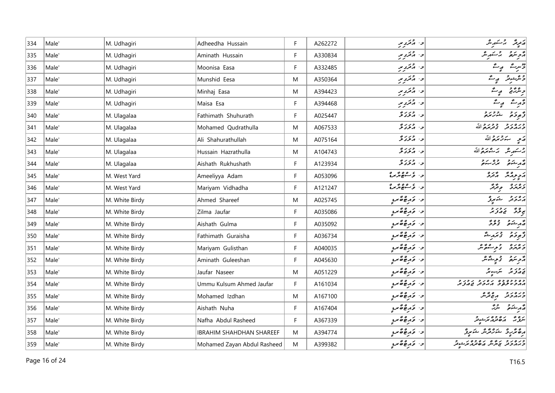| 334 | Male' | M. Udhagiri    | Adheedha Hussain                | F         | A262272 | - رقم تربيب                                | ە ئېرىتى بەر شەر بىر<br>ئ                  |
|-----|-------|----------------|---------------------------------|-----------|---------|--------------------------------------------|--------------------------------------------|
| 335 | Male' | M. Udhagiri    | Aminath Hussain                 | F         | A330834 | و- هرتندی میر                              |                                            |
| 336 | Male' | M. Udhagiri    | Moonisa Easa                    | F         | A332485 | <br> وستمور مر                             | و مرت <sub>م</sub> رت                      |
| 337 | Male' | M. Udhagiri    | Munshid Eesa                    | M         | A350364 | <br> و· م <sup>3</sup> فر <sub>کو</sub> سر | ئەشرىدىق م <sub>ە</sub> ت                  |
| 338 | Male' | M. Udhagiri    | Minhaj Easa                     | M         | A394423 | —<br>احن ارتمز <sub>ی می</sub>             | دِ عربهٔ می سهٔ                            |
| 339 | Male' | M. Udhagiri    | Maisa Esa                       | F         | A394468 | و· م <sup>5</sup> فر <sub>کو</sub> مر      | أقرمر شمير المحمد                          |
| 340 | Male' | M. Ulagalaa    | Fathimath Shuhurath             | F         | A025447 | و- دورونو                                  | و د د د د د د<br>ترج د ه                   |
| 341 | Male' | M. Ulagalaa    | Mohamed Qudrathulla             | ${\sf M}$ | A067533 | ە بەلەر ئە                                 | وره رو ووروالله                            |
| 342 | Male' | M. Ulagalaa    | Ali Shahurathullah              | M         | A075164 | وسمروري                                    | رَمِي سَوَنْرَ مَرْمَ اللَّهُ              |
| 343 | Male' | M. Ulagalaa    | Hussain Hazrathulla             | ${\sf M}$ | A104743 | ە . دىرى                                   | جرستمريش برسة يحرجرالله                    |
| 344 | Male' | M. Ulagalaa    | Aishath Rukhushath              | F         | A123934 | وسمروري                                    | ە ئەستىمى بىر ئەم                          |
| 345 | Male' | M. West Yard   | Ameeliyya Adam                  | F         | A053096 | ى مى مەھەرىمە                              | הבְדַחה הינב                               |
| 346 | Male' | M. West Yard   | Mariyam Vidhadha                | F         | A121247 | ر ، <sub>عر</sub> م موجد و                 | و ده ده و پخونتر                           |
| 347 | Male' | M. White Birdy | Ahmed Shareef                   | ${\sf M}$ | A025745 | و· وَرِءٍ صَّعبهِ                          | پره رو شهرو                                |
| 348 | Male' | M. White Birdy | Zilma Jaufar                    | F         | A035086 | د وَرِءٍ صَّرٍ                             | پر ده ده تو تر تر                          |
| 349 | Male' | M. White Birdy | Aishath Gulma                   | F         | A035092 | وسأوره قاسمو                               | وكرمشكم تحرقر                              |
| 350 | Male' | M. White Birdy | Fathimath Guraisha              | F         | A036734 | و· وَرِءٍ صَّعبهِ                          | توجوجو تمتر المقا                          |
| 351 | Male' | M. White Birdy | Mariyam Gulisthan               | F         | A040035 | و· وَرِهِ قَدَّمْ إِ                       | د وړه د وره وي                             |
| 352 | Male' | M. White Birdy | Aminath Guleeshan               | F         | A045630 | و· وَرِهِ قَدَّمْ إِ                       | أأدو سكافي المحموم والمحمد                 |
| 353 | Male' | M. White Birdy | Jaufar Naseer                   | M         | A051229 | <mark>ى ئەرۋەً بىر</mark>                  | ر ور د سکسیونژ<br>ق <i>اها</i> نونی        |
| 354 | Male' | M. White Birdy | Ummu Kulsum Ahmed Jaufar        | F         | A161034 | و· وَرِءٍ صَّعرٍ                           | 199399999999999999<br>ההכט פלב ההכנת בהצית |
| 355 | Male' | M. White Birdy | Mohamed Izdhan                  | M         | A167100 | و· وَرِءٍ صَّعبهِ                          | ورەرو مەھ<br><i>جەم</i> ەدىر مەقرىر        |
| 356 | Male' | M. White Birdy | Aishath Nuha                    | F         | A167404 | و· وَرِهِ قَدَّمْ إِ                       |                                            |
| 357 | Male' | M. White Birdy | Nafha Abdul Rasheed             | F         | A367339 | <mark>ى ئەرۋەً ي</mark> ر                  | رە بەرەپرىيەتە                             |
| 358 | Male' | M. White Birdy | <b>IBRAHIM SHAHDHAN SHAREEF</b> | ${\sf M}$ | A394774 | د· ءَرِءٍ صَّعبهِ                          | رەپرىرو شەرىرىر شەيرو                      |
| 359 | Male' | M. White Birdy | Mohamed Zayan Abdul Rasheed     | M         | A399382 | د· وَرِءٍ صَّعبهِ                          | وره رو روه ره ده وه ره ور                  |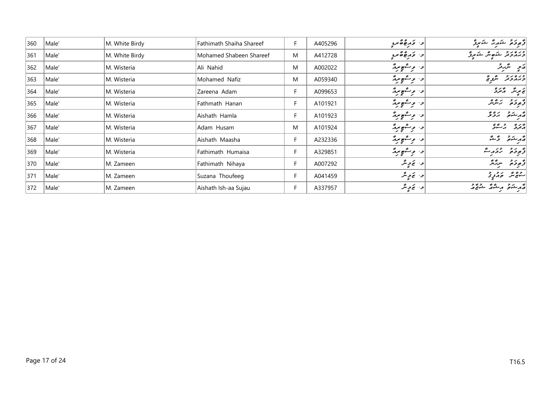| 360 | Male' | M. White Birdy | Fathimath Shaiha Shareef | F. | A405296 | <mark>و· وَرِءٍ صَّ</mark> مَع | أَوْجِرْهُمْ شَهْرِبٌّ شَهْرٍوْ |
|-----|-------|----------------|--------------------------|----|---------|--------------------------------|---------------------------------|
| 361 | Male' | M. White Birdy | Mohamed Shabeen Shareef  | M  | A412728 | د· ءَرِءٍ صَّعبهٍ              | ورەرو شوھ شكىر                  |
| 362 | Male' | M. Wisteria    | Ali Nahid                | M  | A002022 | و· وبەھ بىرەڭ                  | أوسمع متثن يتمر                 |
| 363 | Male' | M. Wisteria    | Mohamed Nafiz            | M  | A059340 | د· وېشومېرم <sup>م</sup>       | ورەر د شرە                      |
| 364 | Male' | M. Wisteria    | Zareena Adam             | F. | A099653 | و· وبەھ بىرەم                  | كج بريتش وتحرفه                 |
| 365 | Male' | M. Wisteria    | Fathmath Hanan           | F. | A101921 | و· وِڪْھِمِيرَّ                | ق د د رنگهر                     |
| 366 | Male' | M. Wisteria    | Aishath Hamla            | F. | A101923 | و· وِڪْھِمِيرَّ                | أور المستوفي المركز             |
| 367 | Male' | M. Wisteria    | Adam Husam               | M  | A101924 | د· وبەھ بىرەً                  | أردره ورميح                     |
| 368 | Male' | M. Wisteria    | Aishath Maasha           | F. | A232336 | د· وېشوېروگه                   | أمار مسكوم الترامية             |
| 369 | Male' | M. Wisteria    | Fathimath Humaisa        | F. | A329851 | د· وبەھ بىرەڭ                  | تخ برد ور ش                     |
| 370 | Male' | M. Zameen      | Fathimath Nihaya         | F. | A007292 | وسيم حريثر                     | أوالمحافظ المرتشر               |
| 371 | Male' | M. Zameen      | Suzana Thoufeeg          | F. | A041459 | وسيم حريثر                     | جۇنئر ئوم ئوتى                  |
| 372 | Male' | M. Zameen      | Aishath Ish-aa Sujau     | F. | A337957 | وسيم وپىگر                     | أمام شدة وشور المستوفي          |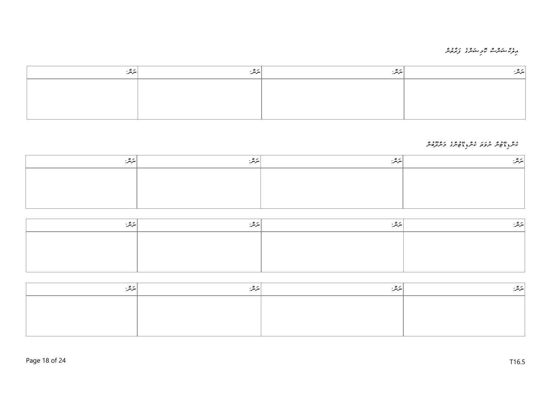## *w7qAn8m?sCw7mRo>u;wEw7mRw;sBo<*

| ' مرمر | 'يئرىثر: |
|--------|----------|
|        |          |
|        |          |
|        |          |

## *w7q9r@w7m>sCw7qHtFoFw7s;mAm=q7w7qHtFoFw7s;*

| يئرمىش: | $^{\circ}$<br>. سر سر<br>$\cdot$ | $\circ$ $\sim$<br>-- | يئرمثر |
|---------|----------------------------------|----------------------|--------|
|         |                                  |                      |        |
|         |                                  |                      |        |
|         |                                  |                      |        |

| انترنثر: | $^{\circ}$ | يبرهر | $^{\circ}$<br>سرسر |
|----------|------------|-------|--------------------|
|          |            |       |                    |
|          |            |       |                    |
|          |            |       |                    |

| ' ئىرتىر: | سر سر |  |
|-----------|-------|--|
|           |       |  |
|           |       |  |
|           |       |  |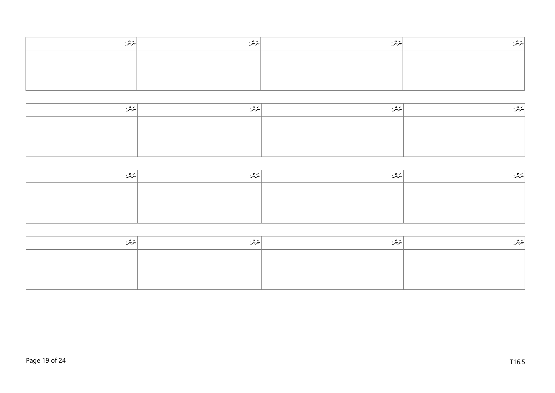| يره. | ο. | ا ير ه |  |
|------|----|--------|--|
|      |    |        |  |
|      |    |        |  |
|      |    |        |  |

| <sup>.</sup> سرسر. |  |
|--------------------|--|
|                    |  |
|                    |  |
|                    |  |

| ىرتىر: | $\sim$ | ا بر هه. | لىرىش |
|--------|--------|----------|-------|
|        |        |          |       |
|        |        |          |       |
|        |        |          |       |

| 。<br>مرس. | $\overline{\phantom{a}}$<br>مر مىر | يتريثر |
|-----------|------------------------------------|--------|
|           |                                    |        |
|           |                                    |        |
|           |                                    |        |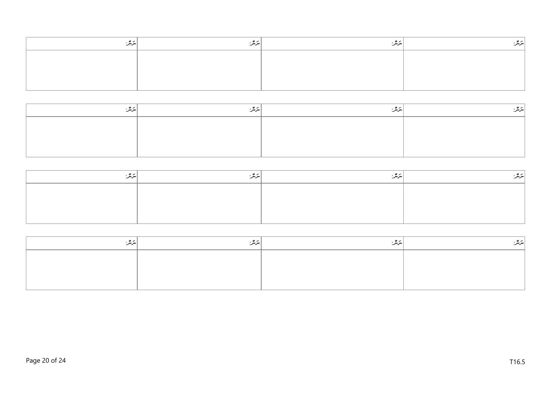| ير هو . | $\overline{\phantom{a}}$ | يرمر | اير هنه. |
|---------|--------------------------|------|----------|
|         |                          |      |          |
|         |                          |      |          |
|         |                          |      |          |

| ئىرتىر: | $\sim$<br>ا سرسر . | يئرمثر | o . |
|---------|--------------------|--------|-----|
|         |                    |        |     |
|         |                    |        |     |
|         |                    |        |     |

| لترتكر: | الترنثر: | ابر همه: | الترنثر: |
|---------|----------|----------|----------|
|         |          |          |          |
|         |          |          |          |
|         |          |          |          |

|  | . ه |
|--|-----|
|  |     |
|  |     |
|  |     |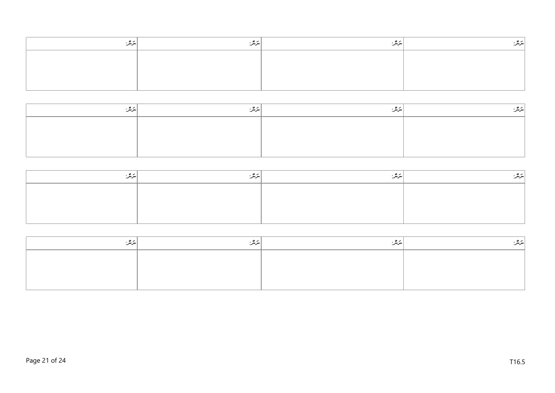| ير هو . | $\overline{\phantom{a}}$ | يرمر | اير هنه. |
|---------|--------------------------|------|----------|
|         |                          |      |          |
|         |                          |      |          |
|         |                          |      |          |

| ئىرتىر: | $\sim$<br>ا سرسر . | يئرمثر | o . |
|---------|--------------------|--------|-----|
|         |                    |        |     |
|         |                    |        |     |
|         |                    |        |     |

| الترنثر: | ' مرتكز: | الترنثر: | .,<br>سرسر. |
|----------|----------|----------|-------------|
|          |          |          |             |
|          |          |          |             |
|          |          |          |             |

|  | . ه |
|--|-----|
|  |     |
|  |     |
|  |     |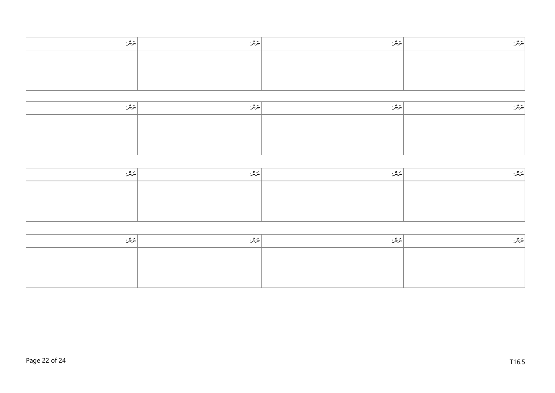| $\cdot$ | 。 | $\frac{\circ}{\cdot}$ | $\sim$<br>سرسر |
|---------|---|-----------------------|----------------|
|         |   |                       |                |
|         |   |                       |                |
|         |   |                       |                |

| يريثن | ' سرسر . |  |
|-------|----------|--|
|       |          |  |
|       |          |  |
|       |          |  |

| بر ه | . ه | $\sim$<br>سرسر |  |
|------|-----|----------------|--|
|      |     |                |  |
|      |     |                |  |
|      |     |                |  |

| 。<br>. س | ىرىىر |  |
|----------|-------|--|
|          |       |  |
|          |       |  |
|          |       |  |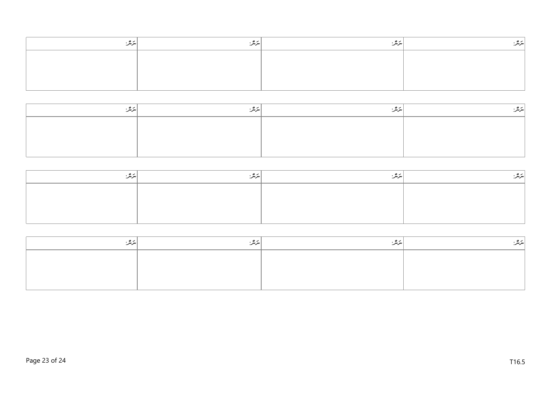| ير هو . | $\overline{\phantom{a}}$ | يرمر | اير هنه. |
|---------|--------------------------|------|----------|
|         |                          |      |          |
|         |                          |      |          |
|         |                          |      |          |

| ىر تىر: | $\circ$ $\sim$<br>" سرسر . | يترمير | o . |
|---------|----------------------------|--------|-----|
|         |                            |        |     |
|         |                            |        |     |
|         |                            |        |     |

| الترنثر: | ' مرتكز: | الترنثر: | .,<br>سرس. |
|----------|----------|----------|------------|
|          |          |          |            |
|          |          |          |            |
|          |          |          |            |

|  | . ه |
|--|-----|
|  |     |
|  |     |
|  |     |